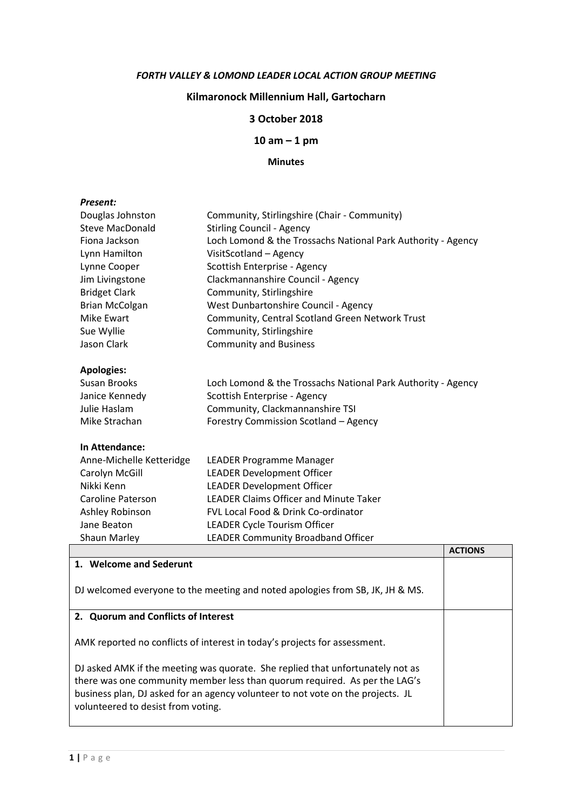#### FORTH VALLEY & LOMOND LEADER LOCAL ACTION GROUP MEETING

# Kilmaronock Millennium Hall, Gartocharn

## 3 October 2018

10 am – 1 pm

#### Minutes

#### Present:

| Douglas Johnston         | Community, Stirlingshire (Chair - Community)                 |
|--------------------------|--------------------------------------------------------------|
| Steve MacDonald          | <b>Stirling Council - Agency</b>                             |
| Fiona Jackson            | Loch Lomond & the Trossachs National Park Authority - Agency |
| Lynn Hamilton            | VisitScotland - Agency                                       |
| Lynne Cooper             | Scottish Enterprise - Agency                                 |
| Jim Livingstone          | Clackmannanshire Council - Agency                            |
| <b>Bridget Clark</b>     | Community, Stirlingshire                                     |
| <b>Brian McColgan</b>    | West Dunbartonshire Council - Agency                         |
| Mike Ewart               | Community, Central Scotland Green Network Trust              |
| Sue Wyllie               | Community, Stirlingshire                                     |
| Jason Clark              | <b>Community and Business</b>                                |
|                          |                                                              |
| <b>Apologies:</b>        |                                                              |
| Susan Brooks             | Loch Lomond & the Trossachs National Park Authority - Agency |
| Janice Kennedy           | Scottish Enterprise - Agency                                 |
| Julie Haslam             | Community, Clackmannanshire TSI                              |
| Mike Strachan            | Forestry Commission Scotland - Agency                        |
|                          |                                                              |
| In Attendance:           |                                                              |
| Anne-Michelle Ketteridge | LEADER Programme Manager                                     |
| Carolyn McGill           | <b>LEADER Development Officer</b>                            |
| Nikki Kenn               | <b>LEADER Development Officer</b>                            |
| Caroline Paterson        | <b>LEADER Claims Officer and Minute Taker</b>                |
| Ashley Robinson          | FVL Local Food & Drink Co-ordinator                          |
| Jane Beaton              | LEADER Cycle Tourism Officer                                 |
| <b>Shaun Marley</b>      | <b>LEADER Community Broadband Officer</b>                    |

|                                                                                                                                                                                                                                                                                       | <b>ACTIONS</b> |
|---------------------------------------------------------------------------------------------------------------------------------------------------------------------------------------------------------------------------------------------------------------------------------------|----------------|
| 1. Welcome and Sederunt                                                                                                                                                                                                                                                               |                |
| DJ welcomed everyone to the meeting and noted apologies from SB, JK, JH & MS.                                                                                                                                                                                                         |                |
| 2. Quorum and Conflicts of Interest                                                                                                                                                                                                                                                   |                |
| AMK reported no conflicts of interest in today's projects for assessment.                                                                                                                                                                                                             |                |
| DJ asked AMK if the meeting was quorate. She replied that unfortunately not as<br>there was one community member less than quorum required. As per the LAG's<br>business plan, DJ asked for an agency volunteer to not vote on the projects. JL<br>volunteered to desist from voting. |                |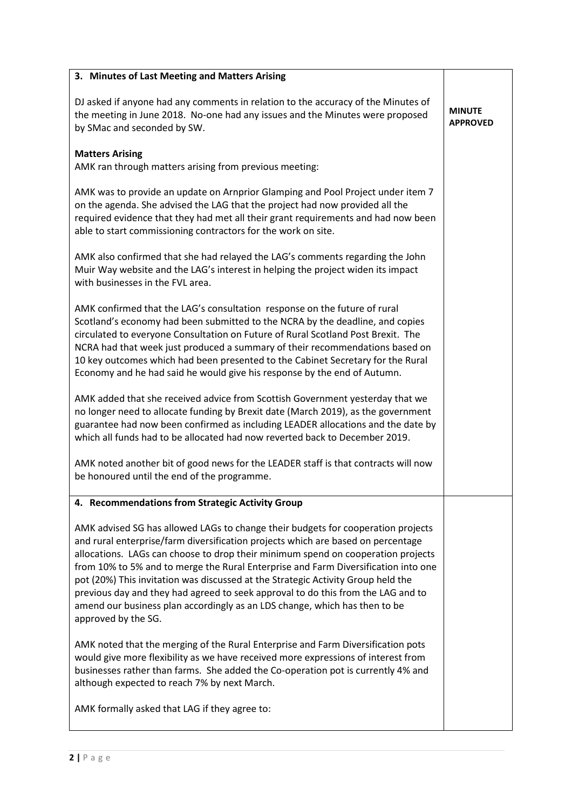| 3. Minutes of Last Meeting and Matters Arising                                                                                                                                                                                                                                                                                                                                                                                                                                                                                                                                                                              |                                  |
|-----------------------------------------------------------------------------------------------------------------------------------------------------------------------------------------------------------------------------------------------------------------------------------------------------------------------------------------------------------------------------------------------------------------------------------------------------------------------------------------------------------------------------------------------------------------------------------------------------------------------------|----------------------------------|
| DJ asked if anyone had any comments in relation to the accuracy of the Minutes of<br>the meeting in June 2018. No-one had any issues and the Minutes were proposed<br>by SMac and seconded by SW.                                                                                                                                                                                                                                                                                                                                                                                                                           | <b>MINUTE</b><br><b>APPROVED</b> |
| <b>Matters Arising</b><br>AMK ran through matters arising from previous meeting:                                                                                                                                                                                                                                                                                                                                                                                                                                                                                                                                            |                                  |
| AMK was to provide an update on Arnprior Glamping and Pool Project under item 7<br>on the agenda. She advised the LAG that the project had now provided all the<br>required evidence that they had met all their grant requirements and had now been<br>able to start commissioning contractors for the work on site.                                                                                                                                                                                                                                                                                                       |                                  |
| AMK also confirmed that she had relayed the LAG's comments regarding the John<br>Muir Way website and the LAG's interest in helping the project widen its impact<br>with businesses in the FVL area.                                                                                                                                                                                                                                                                                                                                                                                                                        |                                  |
| AMK confirmed that the LAG's consultation response on the future of rural<br>Scotland's economy had been submitted to the NCRA by the deadline, and copies<br>circulated to everyone Consultation on Future of Rural Scotland Post Brexit. The<br>NCRA had that week just produced a summary of their recommendations based on<br>10 key outcomes which had been presented to the Cabinet Secretary for the Rural<br>Economy and he had said he would give his response by the end of Autumn.                                                                                                                               |                                  |
| AMK added that she received advice from Scottish Government yesterday that we<br>no longer need to allocate funding by Brexit date (March 2019), as the government<br>guarantee had now been confirmed as including LEADER allocations and the date by<br>which all funds had to be allocated had now reverted back to December 2019.                                                                                                                                                                                                                                                                                       |                                  |
| AMK noted another bit of good news for the LEADER staff is that contracts will now<br>be honoured until the end of the programme.                                                                                                                                                                                                                                                                                                                                                                                                                                                                                           |                                  |
| 4. Recommendations from Strategic Activity Group                                                                                                                                                                                                                                                                                                                                                                                                                                                                                                                                                                            |                                  |
| AMK advised SG has allowed LAGs to change their budgets for cooperation projects<br>and rural enterprise/farm diversification projects which are based on percentage<br>allocations. LAGs can choose to drop their minimum spend on cooperation projects<br>from 10% to 5% and to merge the Rural Enterprise and Farm Diversification into one<br>pot (20%) This invitation was discussed at the Strategic Activity Group held the<br>previous day and they had agreed to seek approval to do this from the LAG and to<br>amend our business plan accordingly as an LDS change, which has then to be<br>approved by the SG. |                                  |
| AMK noted that the merging of the Rural Enterprise and Farm Diversification pots<br>would give more flexibility as we have received more expressions of interest from<br>businesses rather than farms. She added the Co-operation pot is currently 4% and<br>although expected to reach 7% by next March.                                                                                                                                                                                                                                                                                                                   |                                  |
| AMK formally asked that LAG if they agree to:                                                                                                                                                                                                                                                                                                                                                                                                                                                                                                                                                                               |                                  |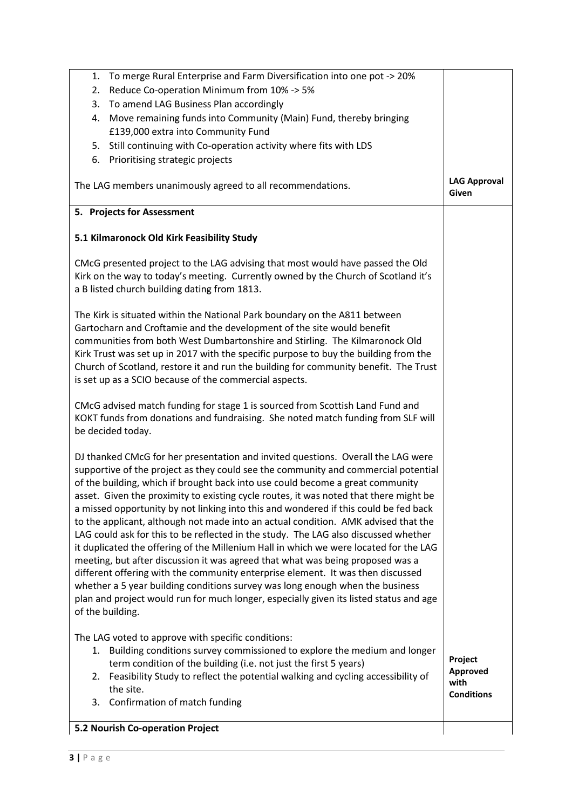| 5.2 Nourish Co-operation Project                                                                                                                                                                      |                                       |
|-------------------------------------------------------------------------------------------------------------------------------------------------------------------------------------------------------|---------------------------------------|
| Confirmation of match funding<br>3.                                                                                                                                                                   |                                       |
| 2. Feasibility Study to reflect the potential walking and cycling accessibility of<br>the site.                                                                                                       | Approved<br>with<br><b>Conditions</b> |
| The LAG voted to approve with specific conditions:<br>1. Building conditions survey commissioned to explore the medium and longer<br>term condition of the building (i.e. not just the first 5 years) | Project                               |
|                                                                                                                                                                                                       |                                       |
| plan and project would run for much longer, especially given its listed status and age<br>of the building.                                                                                            |                                       |
| whether a 5 year building conditions survey was long enough when the business                                                                                                                         |                                       |
| meeting, but after discussion it was agreed that what was being proposed was a<br>different offering with the community enterprise element. It was then discussed                                     |                                       |
| it duplicated the offering of the Millenium Hall in which we were located for the LAG                                                                                                                 |                                       |
| LAG could ask for this to be reflected in the study. The LAG also discussed whether                                                                                                                   |                                       |
| a missed opportunity by not linking into this and wondered if this could be fed back<br>to the applicant, although not made into an actual condition. AMK advised that the                            |                                       |
| asset. Given the proximity to existing cycle routes, it was noted that there might be                                                                                                                 |                                       |
| supportive of the project as they could see the community and commercial potential<br>of the building, which if brought back into use could become a great community                                  |                                       |
| DJ thanked CMcG for her presentation and invited questions. Overall the LAG were                                                                                                                      |                                       |
| be decided today.                                                                                                                                                                                     |                                       |
| CMcG advised match funding for stage 1 is sourced from Scottish Land Fund and<br>KOKT funds from donations and fundraising. She noted match funding from SLF will                                     |                                       |
|                                                                                                                                                                                                       |                                       |
| Church of Scotland, restore it and run the building for community benefit. The Trust<br>is set up as a SCIO because of the commercial aspects.                                                        |                                       |
| Kirk Trust was set up in 2017 with the specific purpose to buy the building from the                                                                                                                  |                                       |
| communities from both West Dumbartonshire and Stirling. The Kilmaronock Old                                                                                                                           |                                       |
| The Kirk is situated within the National Park boundary on the A811 between<br>Gartocharn and Croftamie and the development of the site would benefit                                                  |                                       |
|                                                                                                                                                                                                       |                                       |
| Kirk on the way to today's meeting. Currently owned by the Church of Scotland it's<br>a B listed church building dating from 1813.                                                                    |                                       |
| CMcG presented project to the LAG advising that most would have passed the Old                                                                                                                        |                                       |
| 5.1 Kilmaronock Old Kirk Feasibility Study                                                                                                                                                            |                                       |
|                                                                                                                                                                                                       |                                       |
| 5. Projects for Assessment                                                                                                                                                                            |                                       |
| The LAG members unanimously agreed to all recommendations.                                                                                                                                            | <b>LAG Approval</b><br>Given          |
| 6. Prioritising strategic projects                                                                                                                                                                    |                                       |
| Still continuing with Co-operation activity where fits with LDS<br>5.                                                                                                                                 |                                       |
| £139,000 extra into Community Fund                                                                                                                                                                    |                                       |
| Move remaining funds into Community (Main) Fund, thereby bringing<br>4.                                                                                                                               |                                       |
| To amend LAG Business Plan accordingly<br>3.                                                                                                                                                          |                                       |
| 1.<br>Reduce Co-operation Minimum from 10% -> 5%<br>2.                                                                                                                                                |                                       |
| To merge Rural Enterprise and Farm Diversification into one pot -> 20%                                                                                                                                |                                       |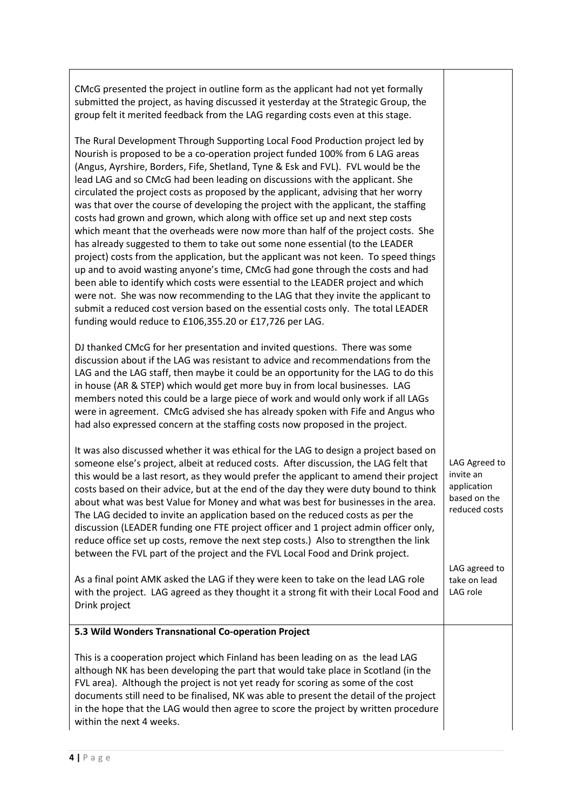| CMcG presented the project in outline form as the applicant had not yet formally<br>submitted the project, as having discussed it yesterday at the Strategic Group, the<br>group felt it merited feedback from the LAG regarding costs even at this stage.                                                                                                                                                                                                                                                                                                                                                                                                                                                                                                                                                                                                                                                                                                                                                                                                                                                                                                                                                                                                            |                                                                            |
|-----------------------------------------------------------------------------------------------------------------------------------------------------------------------------------------------------------------------------------------------------------------------------------------------------------------------------------------------------------------------------------------------------------------------------------------------------------------------------------------------------------------------------------------------------------------------------------------------------------------------------------------------------------------------------------------------------------------------------------------------------------------------------------------------------------------------------------------------------------------------------------------------------------------------------------------------------------------------------------------------------------------------------------------------------------------------------------------------------------------------------------------------------------------------------------------------------------------------------------------------------------------------|----------------------------------------------------------------------------|
| The Rural Development Through Supporting Local Food Production project led by<br>Nourish is proposed to be a co-operation project funded 100% from 6 LAG areas<br>(Angus, Ayrshire, Borders, Fife, Shetland, Tyne & Esk and FVL). FVL would be the<br>lead LAG and so CMcG had been leading on discussions with the applicant. She<br>circulated the project costs as proposed by the applicant, advising that her worry<br>was that over the course of developing the project with the applicant, the staffing<br>costs had grown and grown, which along with office set up and next step costs<br>which meant that the overheads were now more than half of the project costs. She<br>has already suggested to them to take out some none essential (to the LEADER<br>project) costs from the application, but the applicant was not keen. To speed things<br>up and to avoid wasting anyone's time, CMcG had gone through the costs and had<br>been able to identify which costs were essential to the LEADER project and which<br>were not. She was now recommending to the LAG that they invite the applicant to<br>submit a reduced cost version based on the essential costs only. The total LEADER<br>funding would reduce to £106,355.20 or £17,726 per LAG. |                                                                            |
| DJ thanked CMcG for her presentation and invited questions. There was some<br>discussion about if the LAG was resistant to advice and recommendations from the<br>LAG and the LAG staff, then maybe it could be an opportunity for the LAG to do this<br>in house (AR & STEP) which would get more buy in from local businesses. LAG<br>members noted this could be a large piece of work and would only work if all LAGs<br>were in agreement. CMcG advised she has already spoken with Fife and Angus who<br>had also expressed concern at the staffing costs now proposed in the project.                                                                                                                                                                                                                                                                                                                                                                                                                                                                                                                                                                                                                                                                          |                                                                            |
| It was also discussed whether it was ethical for the LAG to design a project based on<br>someone else's project, albeit at reduced costs. After discussion, the LAG felt that<br>this would be a last resort, as they would prefer the applicant to amend their project<br>costs based on their advice, but at the end of the day they were duty bound to think<br>about what was best Value for Money and what was best for businesses in the area.<br>The LAG decided to invite an application based on the reduced costs as per the<br>discussion (LEADER funding one FTE project officer and 1 project admin officer only,<br>reduce office set up costs, remove the next step costs.) Also to strengthen the link<br>between the FVL part of the project and the FVL Local Food and Drink project.                                                                                                                                                                                                                                                                                                                                                                                                                                                               | LAG Agreed to<br>invite an<br>application<br>based on the<br>reduced costs |
| As a final point AMK asked the LAG if they were keen to take on the lead LAG role<br>with the project. LAG agreed as they thought it a strong fit with their Local Food and<br>Drink project                                                                                                                                                                                                                                                                                                                                                                                                                                                                                                                                                                                                                                                                                                                                                                                                                                                                                                                                                                                                                                                                          | LAG agreed to<br>take on lead<br>LAG role                                  |
| 5.3 Wild Wonders Transnational Co-operation Project                                                                                                                                                                                                                                                                                                                                                                                                                                                                                                                                                                                                                                                                                                                                                                                                                                                                                                                                                                                                                                                                                                                                                                                                                   |                                                                            |
| This is a cooperation project which Finland has been leading on as the lead LAG<br>although NK has been developing the part that would take place in Scotland (in the<br>FVL area). Although the project is not yet ready for scoring as some of the cost<br>documents still need to be finalised, NK was able to present the detail of the project<br>in the hope that the LAG would then agree to score the project by written procedure<br>within the next 4 weeks.                                                                                                                                                                                                                                                                                                                                                                                                                                                                                                                                                                                                                                                                                                                                                                                                |                                                                            |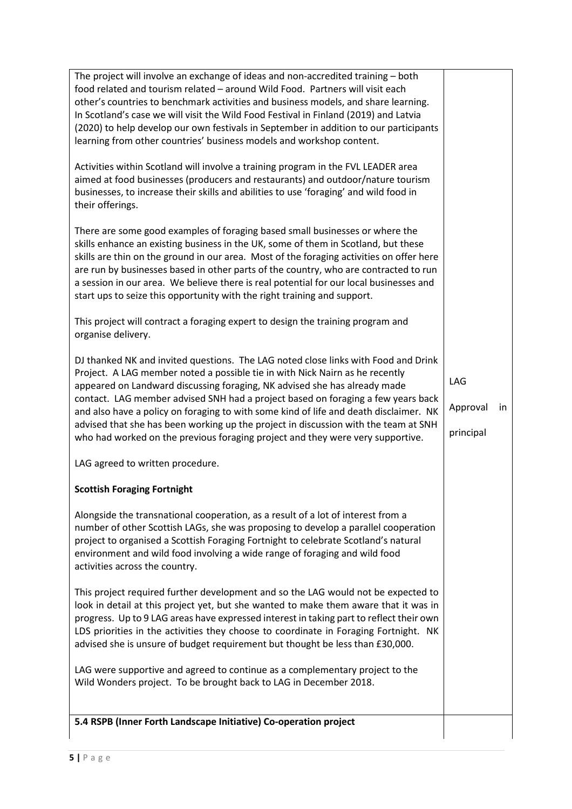| 5.4 RSPB (Inner Forth Landscape Initiative) Co-operation project                                                                                                                                                                                                                                                                                                                                                                                                                                                             |                              |    |
|------------------------------------------------------------------------------------------------------------------------------------------------------------------------------------------------------------------------------------------------------------------------------------------------------------------------------------------------------------------------------------------------------------------------------------------------------------------------------------------------------------------------------|------------------------------|----|
|                                                                                                                                                                                                                                                                                                                                                                                                                                                                                                                              |                              |    |
| Wild Wonders project. To be brought back to LAG in December 2018.                                                                                                                                                                                                                                                                                                                                                                                                                                                            |                              |    |
| LAG were supportive and agreed to continue as a complementary project to the                                                                                                                                                                                                                                                                                                                                                                                                                                                 |                              |    |
| This project required further development and so the LAG would not be expected to<br>look in detail at this project yet, but she wanted to make them aware that it was in<br>progress. Up to 9 LAG areas have expressed interest in taking part to reflect their own<br>LDS priorities in the activities they choose to coordinate in Foraging Fortnight. NK<br>advised she is unsure of budget requirement but thought be less than £30,000.                                                                                |                              |    |
| Alongside the transnational cooperation, as a result of a lot of interest from a<br>number of other Scottish LAGs, she was proposing to develop a parallel cooperation<br>project to organised a Scottish Foraging Fortnight to celebrate Scotland's natural<br>environment and wild food involving a wide range of foraging and wild food<br>activities across the country.                                                                                                                                                 |                              |    |
| <b>Scottish Foraging Fortnight</b>                                                                                                                                                                                                                                                                                                                                                                                                                                                                                           |                              |    |
| LAG agreed to written procedure.                                                                                                                                                                                                                                                                                                                                                                                                                                                                                             |                              |    |
| appeared on Landward discussing foraging, NK advised she has already made<br>contact. LAG member advised SNH had a project based on foraging a few years back<br>and also have a policy on foraging to with some kind of life and death disclaimer. NK<br>advised that she has been working up the project in discussion with the team at SNH<br>who had worked on the previous foraging project and they were very supportive.                                                                                              | LAG<br>Approval<br>principal | in |
| DJ thanked NK and invited questions. The LAG noted close links with Food and Drink<br>Project. A LAG member noted a possible tie in with Nick Nairn as he recently                                                                                                                                                                                                                                                                                                                                                           |                              |    |
| This project will contract a foraging expert to design the training program and<br>organise delivery.                                                                                                                                                                                                                                                                                                                                                                                                                        |                              |    |
| There are some good examples of foraging based small businesses or where the<br>skills enhance an existing business in the UK, some of them in Scotland, but these<br>skills are thin on the ground in our area. Most of the foraging activities on offer here<br>are run by businesses based in other parts of the country, who are contracted to run<br>a session in our area. We believe there is real potential for our local businesses and<br>start ups to seize this opportunity with the right training and support. |                              |    |
| Activities within Scotland will involve a training program in the FVL LEADER area<br>aimed at food businesses (producers and restaurants) and outdoor/nature tourism<br>businesses, to increase their skills and abilities to use 'foraging' and wild food in<br>their offerings.                                                                                                                                                                                                                                            |                              |    |
| The project will involve an exchange of ideas and non-accredited training - both<br>food related and tourism related - around Wild Food. Partners will visit each<br>other's countries to benchmark activities and business models, and share learning.<br>In Scotland's case we will visit the Wild Food Festival in Finland (2019) and Latvia<br>(2020) to help develop our own festivals in September in addition to our participants<br>learning from other countries' business models and workshop content.             |                              |    |
|                                                                                                                                                                                                                                                                                                                                                                                                                                                                                                                              |                              |    |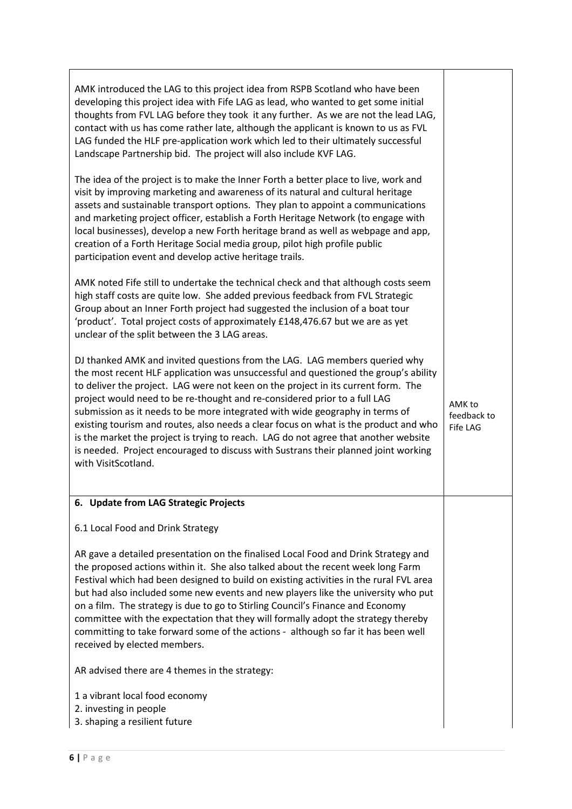| AMK introduced the LAG to this project idea from RSPB Scotland who have been       |
|------------------------------------------------------------------------------------|
| developing this project idea with Fife LAG as lead, who wanted to get some initial |
| thoughts from FVL LAG before they took it any further. As we are not the lead LAG, |
| contact with us has come rather late, although the applicant is known to us as FVL |
| LAG funded the HLF pre-application work which led to their ultimately successful   |
| Landscape Partnership bid. The project will also include KVF LAG.                  |

The idea of the project is to make the Inner Forth a better place to live, work and visit by improving marketing and awareness of its natural and cultural heritage assets and sustainable transport options. They plan to appoint a communications and marketing project officer, establish a Forth Heritage Network (to engage with local businesses), develop a new Forth heritage brand as well as webpage and app, creation of a Forth Heritage Social media group, pilot high profile public participation event and develop active heritage trails.

AMK noted Fife still to undertake the technical check and that although costs seem high staff costs are quite low. She added previous feedback from FVL Strategic Group about an Inner Forth project had suggested the inclusion of a boat tour 'product'. Total project costs of approximately £148,476.67 but we are as yet unclear of the split between the 3 LAG areas.

DJ thanked AMK and invited questions from the LAG. LAG members queried why the most recent HLF application was unsuccessful and questioned the group's ability to deliver the project. LAG were not keen on the project in its current form. The project would need to be re-thought and re-considered prior to a full LAG submission as it needs to be more integrated with wide geography in terms of existing tourism and routes, also needs a clear focus on what is the product and who is the market the project is trying to reach. LAG do not agree that another website is needed. Project encouraged to discuss with Sustrans their planned joint working with VisitScotland.

AMK to feedback to Fife LAG

### 6. Update from LAG Strategic Projects

### 6.1 Local Food and Drink Strategy

AR gave a detailed presentation on the finalised Local Food and Drink Strategy and the proposed actions within it. She also talked about the recent week long Farm Festival which had been designed to build on existing activities in the rural FVL area but had also included some new events and new players like the university who put on a film. The strategy is due to go to Stirling Council's Finance and Economy committee with the expectation that they will formally adopt the strategy thereby committing to take forward some of the actions - although so far it has been well received by elected members.

AR advised there are 4 themes in the strategy:

- 1 a vibrant local food economy
- 2. investing in people
- 3. shaping a resilient future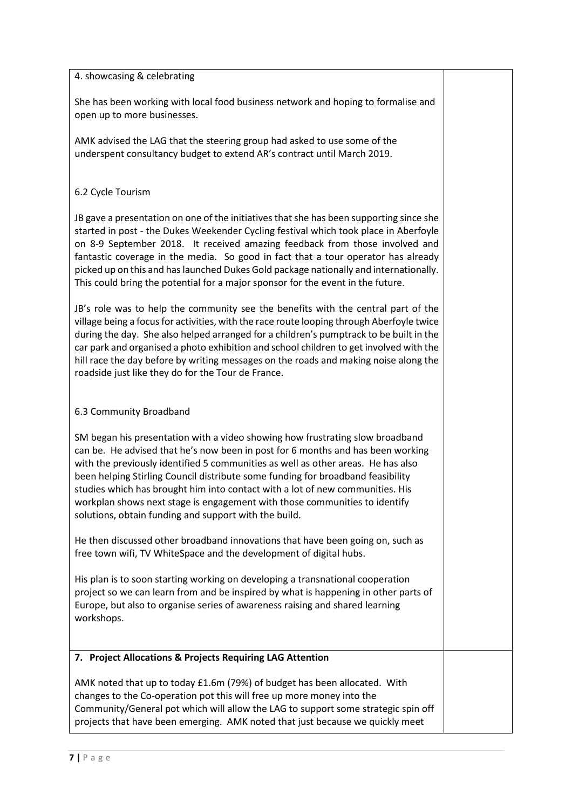#### 4. showcasing & celebrating

She has been working with local food business network and hoping to formalise and open up to more businesses.

AMK advised the LAG that the steering group had asked to use some of the underspent consultancy budget to extend AR's contract until March 2019.

#### 6.2 Cycle Tourism

JB gave a presentation on one of the initiatives that she has been supporting since she started in post - the Dukes Weekender Cycling festival which took place in Aberfoyle on 8-9 September 2018. It received amazing feedback from those involved and fantastic coverage in the media. So good in fact that a tour operator has already picked up on this and has launched Dukes Gold package nationally and internationally. This could bring the potential for a major sponsor for the event in the future.

JB's role was to help the community see the benefits with the central part of the village being a focus for activities, with the race route looping through Aberfoyle twice during the day. She also helped arranged for a children's pumptrack to be built in the car park and organised a photo exhibition and school children to get involved with the hill race the day before by writing messages on the roads and making noise along the roadside just like they do for the Tour de France.

### 6.3 Community Broadband

SM began his presentation with a video showing how frustrating slow broadband can be. He advised that he's now been in post for 6 months and has been working with the previously identified 5 communities as well as other areas. He has also been helping Stirling Council distribute some funding for broadband feasibility studies which has brought him into contact with a lot of new communities. His workplan shows next stage is engagement with those communities to identify solutions, obtain funding and support with the build.

He then discussed other broadband innovations that have been going on, such as free town wifi, TV WhiteSpace and the development of digital hubs.

His plan is to soon starting working on developing a transnational cooperation project so we can learn from and be inspired by what is happening in other parts of Europe, but also to organise series of awareness raising and shared learning workshops.

### 7. Project Allocations & Projects Requiring LAG Attention

AMK noted that up to today £1.6m (79%) of budget has been allocated. With changes to the Co-operation pot this will free up more money into the Community/General pot which will allow the LAG to support some strategic spin off projects that have been emerging. AMK noted that just because we quickly meet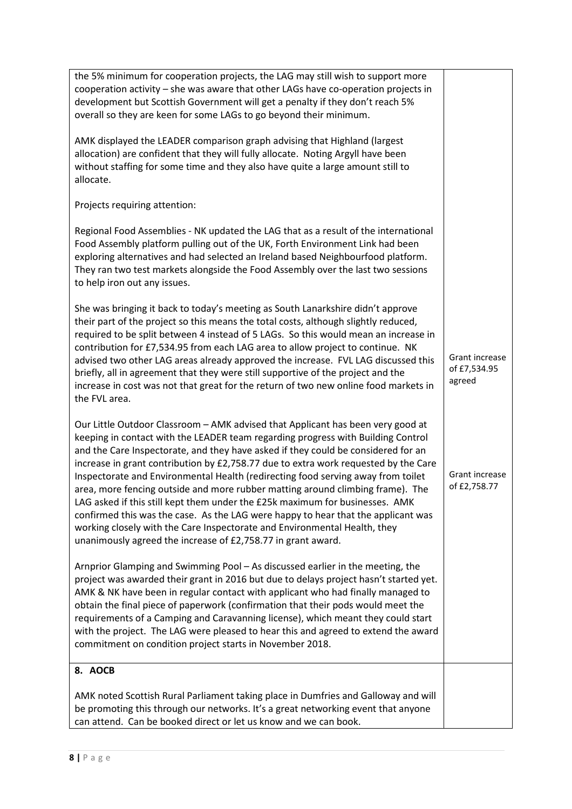| the 5% minimum for cooperation projects, the LAG may still wish to support more<br>cooperation activity - she was aware that other LAGs have co-operation projects in<br>development but Scottish Government will get a penalty if they don't reach 5%<br>overall so they are keen for some LAGs to go beyond their minimum.                                                                                                                                                                                                                                                                                                                                                                                                                                                                                                            |                                          |
|-----------------------------------------------------------------------------------------------------------------------------------------------------------------------------------------------------------------------------------------------------------------------------------------------------------------------------------------------------------------------------------------------------------------------------------------------------------------------------------------------------------------------------------------------------------------------------------------------------------------------------------------------------------------------------------------------------------------------------------------------------------------------------------------------------------------------------------------|------------------------------------------|
| AMK displayed the LEADER comparison graph advising that Highland (largest<br>allocation) are confident that they will fully allocate. Noting Argyll have been<br>without staffing for some time and they also have quite a large amount still to<br>allocate.                                                                                                                                                                                                                                                                                                                                                                                                                                                                                                                                                                           |                                          |
| Projects requiring attention:                                                                                                                                                                                                                                                                                                                                                                                                                                                                                                                                                                                                                                                                                                                                                                                                           |                                          |
| Regional Food Assemblies - NK updated the LAG that as a result of the international<br>Food Assembly platform pulling out of the UK, Forth Environment Link had been<br>exploring alternatives and had selected an Ireland based Neighbourfood platform.<br>They ran two test markets alongside the Food Assembly over the last two sessions<br>to help iron out any issues.                                                                                                                                                                                                                                                                                                                                                                                                                                                            |                                          |
| She was bringing it back to today's meeting as South Lanarkshire didn't approve<br>their part of the project so this means the total costs, although slightly reduced,<br>required to be split between 4 instead of 5 LAGs. So this would mean an increase in<br>contribution for £7,534.95 from each LAG area to allow project to continue. NK<br>advised two other LAG areas already approved the increase. FVL LAG discussed this<br>briefly, all in agreement that they were still supportive of the project and the<br>increase in cost was not that great for the return of two new online food markets in<br>the FVL area.                                                                                                                                                                                                       | Grant increase<br>of £7,534.95<br>agreed |
| Our Little Outdoor Classroom - AMK advised that Applicant has been very good at<br>keeping in contact with the LEADER team regarding progress with Building Control<br>and the Care Inspectorate, and they have asked if they could be considered for an<br>increase in grant contribution by £2,758.77 due to extra work requested by the Care<br>Inspectorate and Environmental Health (redirecting food serving away from toilet<br>area, more fencing outside and more rubber matting around climbing frame). The<br>LAG asked if this still kept them under the £25k maximum for businesses. AMK<br>confirmed this was the case. As the LAG were happy to hear that the applicant was<br>working closely with the Care Inspectorate and Environmental Health, they<br>unanimously agreed the increase of £2,758.77 in grant award. | Grant increase<br>of £2,758.77           |
| Arnprior Glamping and Swimming Pool - As discussed earlier in the meeting, the<br>project was awarded their grant in 2016 but due to delays project hasn't started yet.<br>AMK & NK have been in regular contact with applicant who had finally managed to<br>obtain the final piece of paperwork (confirmation that their pods would meet the<br>requirements of a Camping and Caravanning license), which meant they could start<br>with the project. The LAG were pleased to hear this and agreed to extend the award<br>commitment on condition project starts in November 2018.                                                                                                                                                                                                                                                    |                                          |
| 8. AOCB                                                                                                                                                                                                                                                                                                                                                                                                                                                                                                                                                                                                                                                                                                                                                                                                                                 |                                          |
| AMK noted Scottish Rural Parliament taking place in Dumfries and Galloway and will<br>be promoting this through our networks. It's a great networking event that anyone<br>can attend. Can be booked direct or let us know and we can book.                                                                                                                                                                                                                                                                                                                                                                                                                                                                                                                                                                                             |                                          |